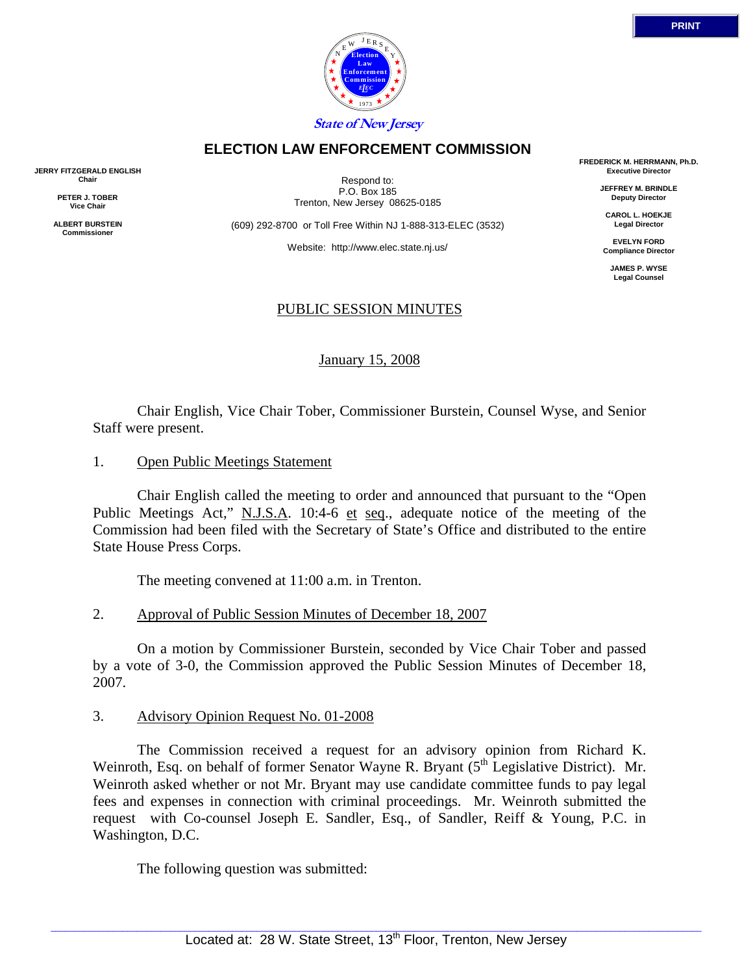

## **ELECTION LAW ENFORCEMENT COMMISSION**

**JERRY FITZGERALD ENGLISH Chair** 

> **PETER J. TOBER Vice Chair**

**ALBERT BURSTEIN Commissioner** 

Respond to: P.O. Box 185 Trenton, New Jersey 08625-0185

(609) 292-8700 or Toll Free Within NJ 1-888-313-ELEC (3532)

Website: http://www.elec.state.nj.us/

## PUBLIC SESSION MINUTES

January 15, 2008

 Chair English, Vice Chair Tober, Commissioner Burstein, Counsel Wyse, and Senior Staff were present.

1. Open Public Meetings Statement

 Chair English called the meeting to order and announced that pursuant to the "Open Public Meetings Act," N.J.S.A. 10:4-6 et seq., adequate notice of the meeting of the Commission had been filed with the Secretary of State's Office and distributed to the entire State House Press Corps.

The meeting convened at 11:00 a.m. in Trenton.

2. Approval of Public Session Minutes of December 18, 2007

 On a motion by Commissioner Burstein, seconded by Vice Chair Tober and passed by a vote of 3-0, the Commission approved the Public Session Minutes of December 18, 2007.

## 3. Advisory Opinion Request No. 01-2008

 The Commission received a request for an advisory opinion from Richard K. Weinroth, Esq. on behalf of former Senator Wayne R. Bryant  $(5<sup>th</sup>$  Legislative District). Mr. Weinroth asked whether or not Mr. Bryant may use candidate committee funds to pay legal fees and expenses in connection with criminal proceedings. Mr. Weinroth submitted the request with Co-counsel Joseph E. Sandler, Esq., of Sandler, Reiff & Young, P.C. in Washington, D.C.

The following question was submitted:

**FREDERICK M. HERRMANN, Ph.D. Executive Director** 

> **JEFFREY M. BRINDLE Deputy Director**

**CAROL L. HOEKJE Legal Director** 

**EVELYN FORD Compliance Director** 

**JAMES P. WYSE Legal Counsel**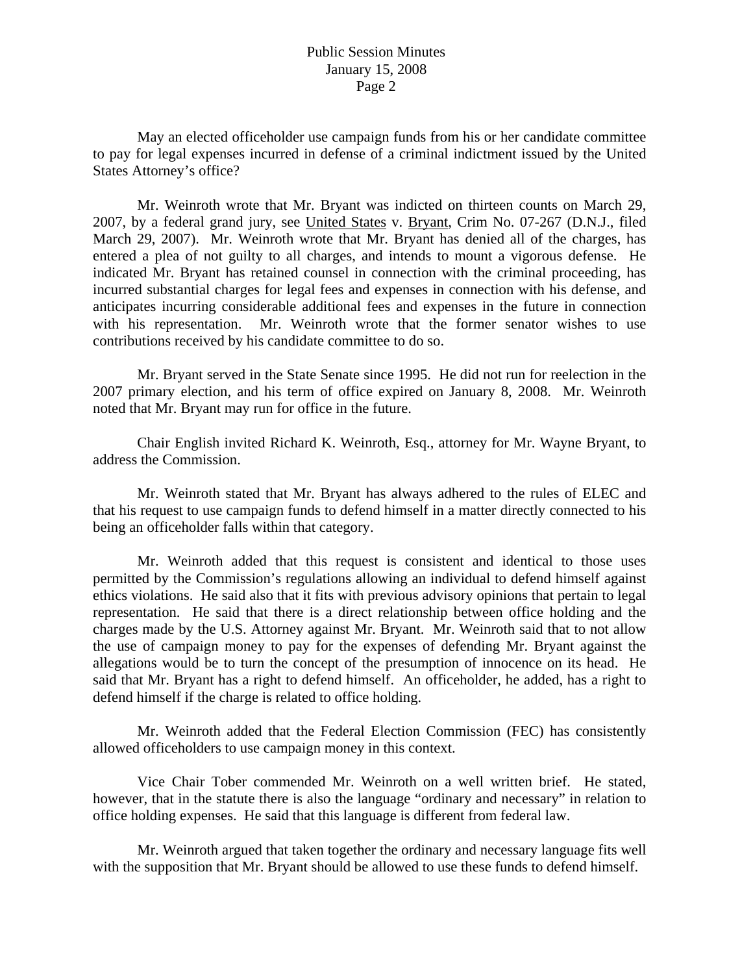May an elected officeholder use campaign funds from his or her candidate committee to pay for legal expenses incurred in defense of a criminal indictment issued by the United States Attorney's office?

 Mr. Weinroth wrote that Mr. Bryant was indicted on thirteen counts on March 29, 2007, by a federal grand jury, see United States v. Bryant, Crim No. 07-267 (D.N.J., filed March 29, 2007). Mr. Weinroth wrote that Mr. Bryant has denied all of the charges, has entered a plea of not guilty to all charges, and intends to mount a vigorous defense. He indicated Mr. Bryant has retained counsel in connection with the criminal proceeding, has incurred substantial charges for legal fees and expenses in connection with his defense, and anticipates incurring considerable additional fees and expenses in the future in connection with his representation. Mr. Weinroth wrote that the former senator wishes to use contributions received by his candidate committee to do so.

 Mr. Bryant served in the State Senate since 1995. He did not run for reelection in the 2007 primary election, and his term of office expired on January 8, 2008. Mr. Weinroth noted that Mr. Bryant may run for office in the future.

 Chair English invited Richard K. Weinroth, Esq., attorney for Mr. Wayne Bryant, to address the Commission.

 Mr. Weinroth stated that Mr. Bryant has always adhered to the rules of ELEC and that his request to use campaign funds to defend himself in a matter directly connected to his being an officeholder falls within that category.

 Mr. Weinroth added that this request is consistent and identical to those uses permitted by the Commission's regulations allowing an individual to defend himself against ethics violations. He said also that it fits with previous advisory opinions that pertain to legal representation. He said that there is a direct relationship between office holding and the charges made by the U.S. Attorney against Mr. Bryant. Mr. Weinroth said that to not allow the use of campaign money to pay for the expenses of defending Mr. Bryant against the allegations would be to turn the concept of the presumption of innocence on its head. He said that Mr. Bryant has a right to defend himself. An officeholder, he added, has a right to defend himself if the charge is related to office holding.

 Mr. Weinroth added that the Federal Election Commission (FEC) has consistently allowed officeholders to use campaign money in this context.

 Vice Chair Tober commended Mr. Weinroth on a well written brief. He stated, however, that in the statute there is also the language "ordinary and necessary" in relation to office holding expenses. He said that this language is different from federal law.

 Mr. Weinroth argued that taken together the ordinary and necessary language fits well with the supposition that Mr. Bryant should be allowed to use these funds to defend himself.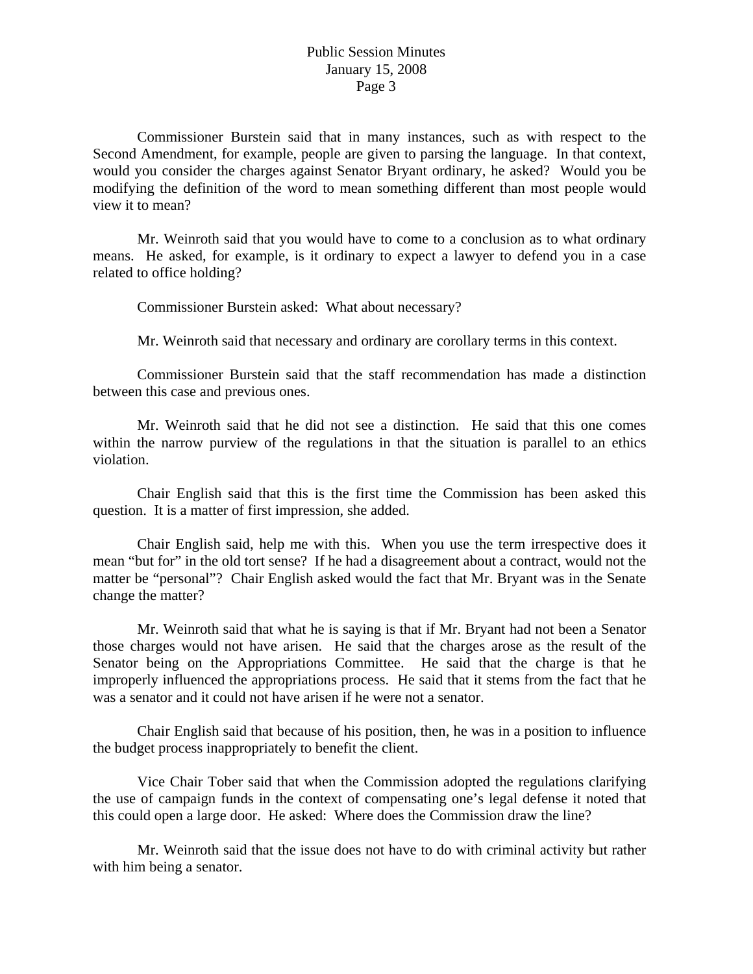Commissioner Burstein said that in many instances, such as with respect to the Second Amendment, for example, people are given to parsing the language. In that context, would you consider the charges against Senator Bryant ordinary, he asked? Would you be modifying the definition of the word to mean something different than most people would view it to mean?

 Mr. Weinroth said that you would have to come to a conclusion as to what ordinary means. He asked, for example, is it ordinary to expect a lawyer to defend you in a case related to office holding?

Commissioner Burstein asked: What about necessary?

Mr. Weinroth said that necessary and ordinary are corollary terms in this context.

 Commissioner Burstein said that the staff recommendation has made a distinction between this case and previous ones.

 Mr. Weinroth said that he did not see a distinction. He said that this one comes within the narrow purview of the regulations in that the situation is parallel to an ethics violation.

 Chair English said that this is the first time the Commission has been asked this question. It is a matter of first impression, she added.

 Chair English said, help me with this. When you use the term irrespective does it mean "but for" in the old tort sense? If he had a disagreement about a contract, would not the matter be "personal"? Chair English asked would the fact that Mr. Bryant was in the Senate change the matter?

 Mr. Weinroth said that what he is saying is that if Mr. Bryant had not been a Senator those charges would not have arisen. He said that the charges arose as the result of the Senator being on the Appropriations Committee. He said that the charge is that he improperly influenced the appropriations process. He said that it stems from the fact that he was a senator and it could not have arisen if he were not a senator.

 Chair English said that because of his position, then, he was in a position to influence the budget process inappropriately to benefit the client.

 Vice Chair Tober said that when the Commission adopted the regulations clarifying the use of campaign funds in the context of compensating one's legal defense it noted that this could open a large door. He asked: Where does the Commission draw the line?

 Mr. Weinroth said that the issue does not have to do with criminal activity but rather with him being a senator.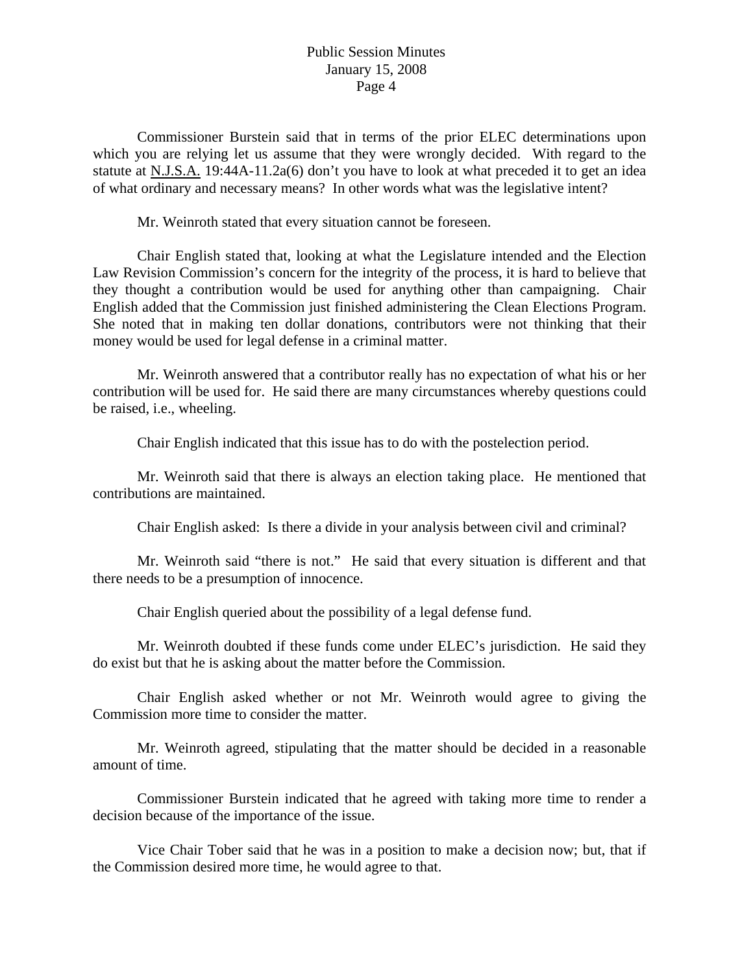Commissioner Burstein said that in terms of the prior ELEC determinations upon which you are relying let us assume that they were wrongly decided. With regard to the statute at N.J.S.A. 19:44A-11.2a(6) don't you have to look at what preceded it to get an idea of what ordinary and necessary means? In other words what was the legislative intent?

Mr. Weinroth stated that every situation cannot be foreseen.

 Chair English stated that, looking at what the Legislature intended and the Election Law Revision Commission's concern for the integrity of the process, it is hard to believe that they thought a contribution would be used for anything other than campaigning. Chair English added that the Commission just finished administering the Clean Elections Program. She noted that in making ten dollar donations, contributors were not thinking that their money would be used for legal defense in a criminal matter.

 Mr. Weinroth answered that a contributor really has no expectation of what his or her contribution will be used for. He said there are many circumstances whereby questions could be raised, i.e., wheeling.

Chair English indicated that this issue has to do with the postelection period.

 Mr. Weinroth said that there is always an election taking place. He mentioned that contributions are maintained.

Chair English asked: Is there a divide in your analysis between civil and criminal?

 Mr. Weinroth said "there is not." He said that every situation is different and that there needs to be a presumption of innocence.

Chair English queried about the possibility of a legal defense fund.

 Mr. Weinroth doubted if these funds come under ELEC's jurisdiction. He said they do exist but that he is asking about the matter before the Commission.

 Chair English asked whether or not Mr. Weinroth would agree to giving the Commission more time to consider the matter.

 Mr. Weinroth agreed, stipulating that the matter should be decided in a reasonable amount of time.

 Commissioner Burstein indicated that he agreed with taking more time to render a decision because of the importance of the issue.

 Vice Chair Tober said that he was in a position to make a decision now; but, that if the Commission desired more time, he would agree to that.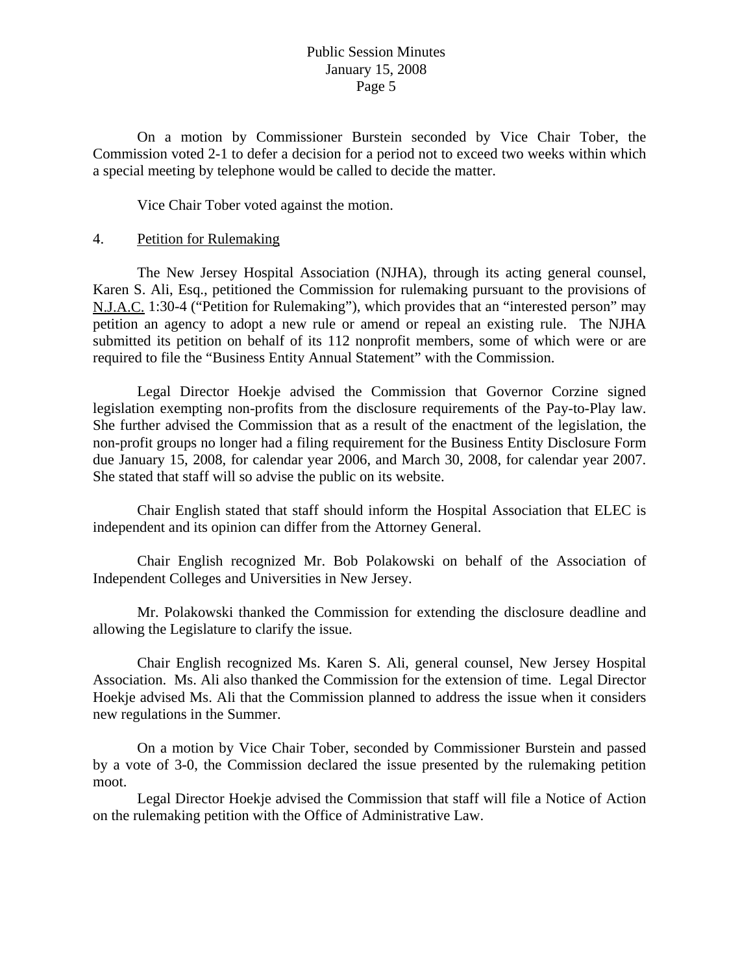On a motion by Commissioner Burstein seconded by Vice Chair Tober, the Commission voted 2-1 to defer a decision for a period not to exceed two weeks within which a special meeting by telephone would be called to decide the matter.

Vice Chair Tober voted against the motion.

### 4. Petition for Rulemaking

 The New Jersey Hospital Association (NJHA), through its acting general counsel, Karen S. Ali, Esq., petitioned the Commission for rulemaking pursuant to the provisions of N.J.A.C. 1:30-4 ("Petition for Rulemaking"), which provides that an "interested person" may petition an agency to adopt a new rule or amend or repeal an existing rule. The NJHA submitted its petition on behalf of its 112 nonprofit members, some of which were or are required to file the "Business Entity Annual Statement" with the Commission.

 Legal Director Hoekje advised the Commission that Governor Corzine signed legislation exempting non-profits from the disclosure requirements of the Pay-to-Play law. She further advised the Commission that as a result of the enactment of the legislation, the non-profit groups no longer had a filing requirement for the Business Entity Disclosure Form due January 15, 2008, for calendar year 2006, and March 30, 2008, for calendar year 2007. She stated that staff will so advise the public on its website.

 Chair English stated that staff should inform the Hospital Association that ELEC is independent and its opinion can differ from the Attorney General.

 Chair English recognized Mr. Bob Polakowski on behalf of the Association of Independent Colleges and Universities in New Jersey.

 Mr. Polakowski thanked the Commission for extending the disclosure deadline and allowing the Legislature to clarify the issue.

 Chair English recognized Ms. Karen S. Ali, general counsel, New Jersey Hospital Association. Ms. Ali also thanked the Commission for the extension of time. Legal Director Hoekie advised Ms. Ali that the Commission planned to address the issue when it considers new regulations in the Summer.

 On a motion by Vice Chair Tober, seconded by Commissioner Burstein and passed by a vote of 3-0, the Commission declared the issue presented by the rulemaking petition moot.

 Legal Director Hoekje advised the Commission that staff will file a Notice of Action on the rulemaking petition with the Office of Administrative Law.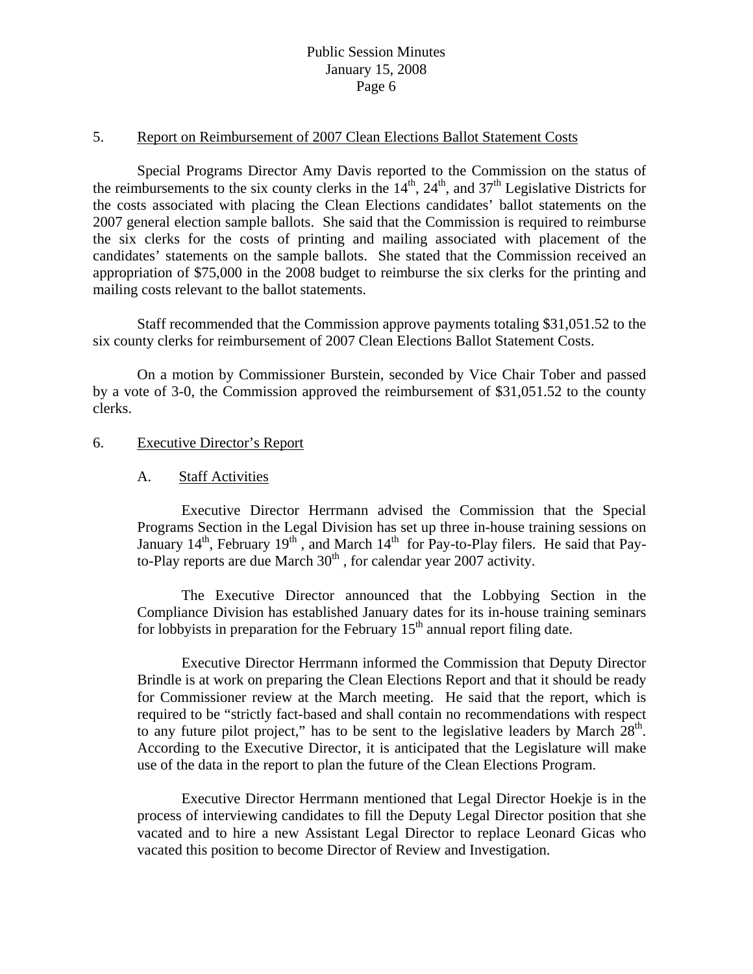#### 5. Report on Reimbursement of 2007 Clean Elections Ballot Statement Costs

 Special Programs Director Amy Davis reported to the Commission on the status of the reimbursements to the six county clerks in the  $14<sup>th</sup>$ ,  $24<sup>th</sup>$ , and  $37<sup>th</sup>$  Legislative Districts for the costs associated with placing the Clean Elections candidates' ballot statements on the 2007 general election sample ballots. She said that the Commission is required to reimburse the six clerks for the costs of printing and mailing associated with placement of the candidates' statements on the sample ballots. She stated that the Commission received an appropriation of \$75,000 in the 2008 budget to reimburse the six clerks for the printing and mailing costs relevant to the ballot statements.

 Staff recommended that the Commission approve payments totaling \$31,051.52 to the six county clerks for reimbursement of 2007 Clean Elections Ballot Statement Costs.

 On a motion by Commissioner Burstein, seconded by Vice Chair Tober and passed by a vote of 3-0, the Commission approved the reimbursement of \$31,051.52 to the county clerks.

#### 6. Executive Director's Report

#### A. Staff Activities

 Executive Director Herrmann advised the Commission that the Special Programs Section in the Legal Division has set up three in-house training sessions on January  $14<sup>th</sup>$ , February  $19<sup>th</sup>$ , and March  $14<sup>th</sup>$  for Pay-to-Play filers. He said that Payto-Play reports are due March  $30<sup>th</sup>$ , for calendar year 2007 activity.

 The Executive Director announced that the Lobbying Section in the Compliance Division has established January dates for its in-house training seminars for lobbyists in preparation for the February  $15<sup>th</sup>$  annual report filing date.

 Executive Director Herrmann informed the Commission that Deputy Director Brindle is at work on preparing the Clean Elections Report and that it should be ready for Commissioner review at the March meeting. He said that the report, which is required to be "strictly fact-based and shall contain no recommendations with respect to any future pilot project," has to be sent to the legislative leaders by March  $28<sup>th</sup>$ . According to the Executive Director, it is anticipated that the Legislature will make use of the data in the report to plan the future of the Clean Elections Program.

 Executive Director Herrmann mentioned that Legal Director Hoekje is in the process of interviewing candidates to fill the Deputy Legal Director position that she vacated and to hire a new Assistant Legal Director to replace Leonard Gicas who vacated this position to become Director of Review and Investigation.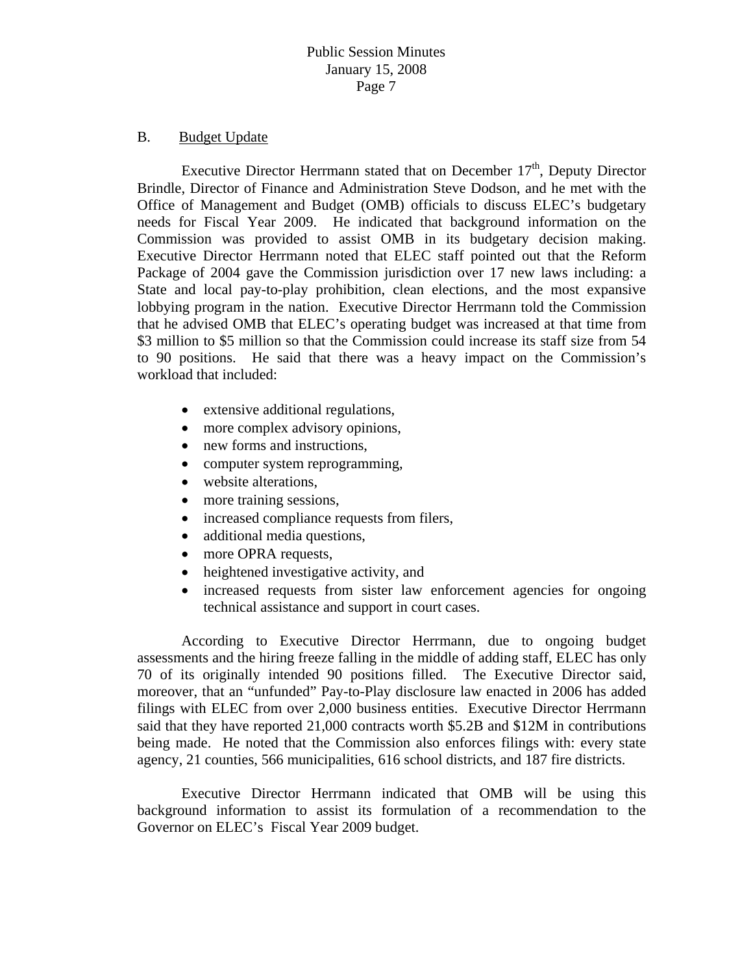#### B. Budget Update

Executive Director Herrmann stated that on December  $17<sup>th</sup>$ , Deputy Director Brindle, Director of Finance and Administration Steve Dodson, and he met with the Office of Management and Budget (OMB) officials to discuss ELEC's budgetary needs for Fiscal Year 2009. He indicated that background information on the Commission was provided to assist OMB in its budgetary decision making. Executive Director Herrmann noted that ELEC staff pointed out that the Reform Package of 2004 gave the Commission jurisdiction over 17 new laws including: a State and local pay-to-play prohibition, clean elections, and the most expansive lobbying program in the nation. Executive Director Herrmann told the Commission that he advised OMB that ELEC's operating budget was increased at that time from \$3 million to \$5 million so that the Commission could increase its staff size from 54 to 90 positions. He said that there was a heavy impact on the Commission's workload that included:

- extensive additional regulations,
- more complex advisory opinions,
- new forms and instructions,
- computer system reprogramming,
- website alterations,
- more training sessions,
- increased compliance requests from filers,
- additional media questions,
- more OPRA requests,
- heightened investigative activity, and
- increased requests from sister law enforcement agencies for ongoing technical assistance and support in court cases.

 According to Executive Director Herrmann, due to ongoing budget assessments and the hiring freeze falling in the middle of adding staff, ELEC has only 70 of its originally intended 90 positions filled. The Executive Director said, moreover, that an "unfunded" Pay-to-Play disclosure law enacted in 2006 has added filings with ELEC from over 2,000 business entities. Executive Director Herrmann said that they have reported 21,000 contracts worth \$5.2B and \$12M in contributions being made. He noted that the Commission also enforces filings with: every state agency, 21 counties, 566 municipalities, 616 school districts, and 187 fire districts.

 Executive Director Herrmann indicated that OMB will be using this background information to assist its formulation of a recommendation to the Governor on ELEC's Fiscal Year 2009 budget.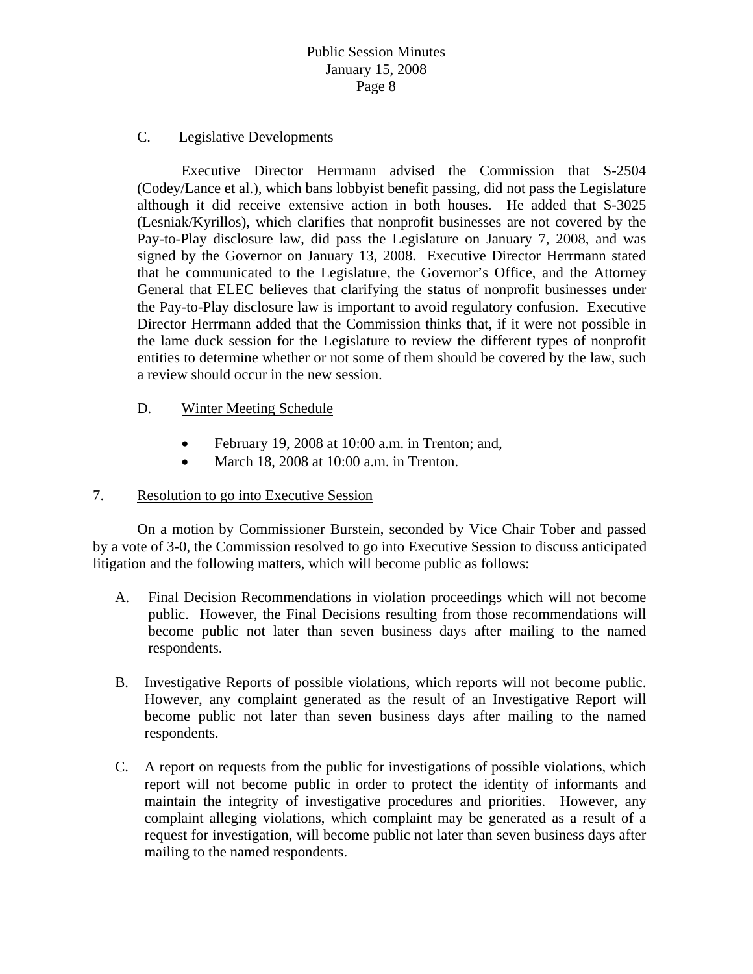## C. Legislative Developments

 Executive Director Herrmann advised the Commission that S-2504 (Codey/Lance et al.), which bans lobbyist benefit passing, did not pass the Legislature although it did receive extensive action in both houses. He added that S-3025 (Lesniak/Kyrillos), which clarifies that nonprofit businesses are not covered by the Pay-to-Play disclosure law, did pass the Legislature on January 7, 2008, and was signed by the Governor on January 13, 2008. Executive Director Herrmann stated that he communicated to the Legislature, the Governor's Office, and the Attorney General that ELEC believes that clarifying the status of nonprofit businesses under the Pay-to-Play disclosure law is important to avoid regulatory confusion. Executive Director Herrmann added that the Commission thinks that, if it were not possible in the lame duck session for the Legislature to review the different types of nonprofit entities to determine whether or not some of them should be covered by the law, such a review should occur in the new session.

## D. Winter Meeting Schedule

- February 19, 2008 at 10:00 a.m. in Trenton; and,
- March 18, 2008 at 10:00 a.m. in Trenton.

## 7. Resolution to go into Executive Session

 On a motion by Commissioner Burstein, seconded by Vice Chair Tober and passed by a vote of 3-0, the Commission resolved to go into Executive Session to discuss anticipated litigation and the following matters, which will become public as follows:

- A. Final Decision Recommendations in violation proceedings which will not become public. However, the Final Decisions resulting from those recommendations will become public not later than seven business days after mailing to the named respondents.
- B. Investigative Reports of possible violations, which reports will not become public. However, any complaint generated as the result of an Investigative Report will become public not later than seven business days after mailing to the named respondents.
- C. A report on requests from the public for investigations of possible violations, which report will not become public in order to protect the identity of informants and maintain the integrity of investigative procedures and priorities. However, any complaint alleging violations, which complaint may be generated as a result of a request for investigation, will become public not later than seven business days after mailing to the named respondents.